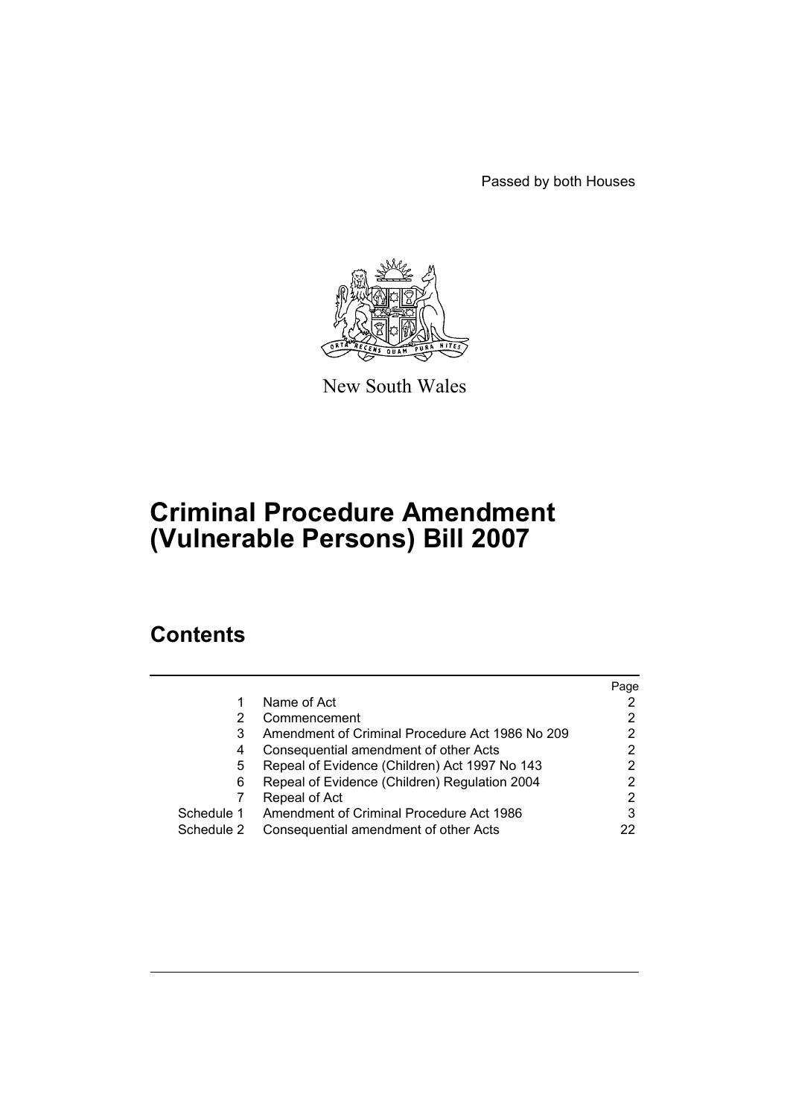Passed by both Houses



New South Wales

# **Criminal Procedure Amendment (Vulnerable Persons) Bill 2007**

# **Contents**

|            |                                                 | Page |
|------------|-------------------------------------------------|------|
|            | Name of Act                                     |      |
|            | Commencement                                    |      |
| 3          | Amendment of Criminal Procedure Act 1986 No 209 |      |
| 4          | Consequential amendment of other Acts           | 2    |
| 5.         | Repeal of Evidence (Children) Act 1997 No 143   |      |
| 6          | Repeal of Evidence (Children) Regulation 2004   | 2    |
|            | Repeal of Act                                   | 2    |
| Schedule 1 | Amendment of Criminal Procedure Act 1986        | 3    |
| Schedule 2 | Consequential amendment of other Acts           | 22   |
|            |                                                 |      |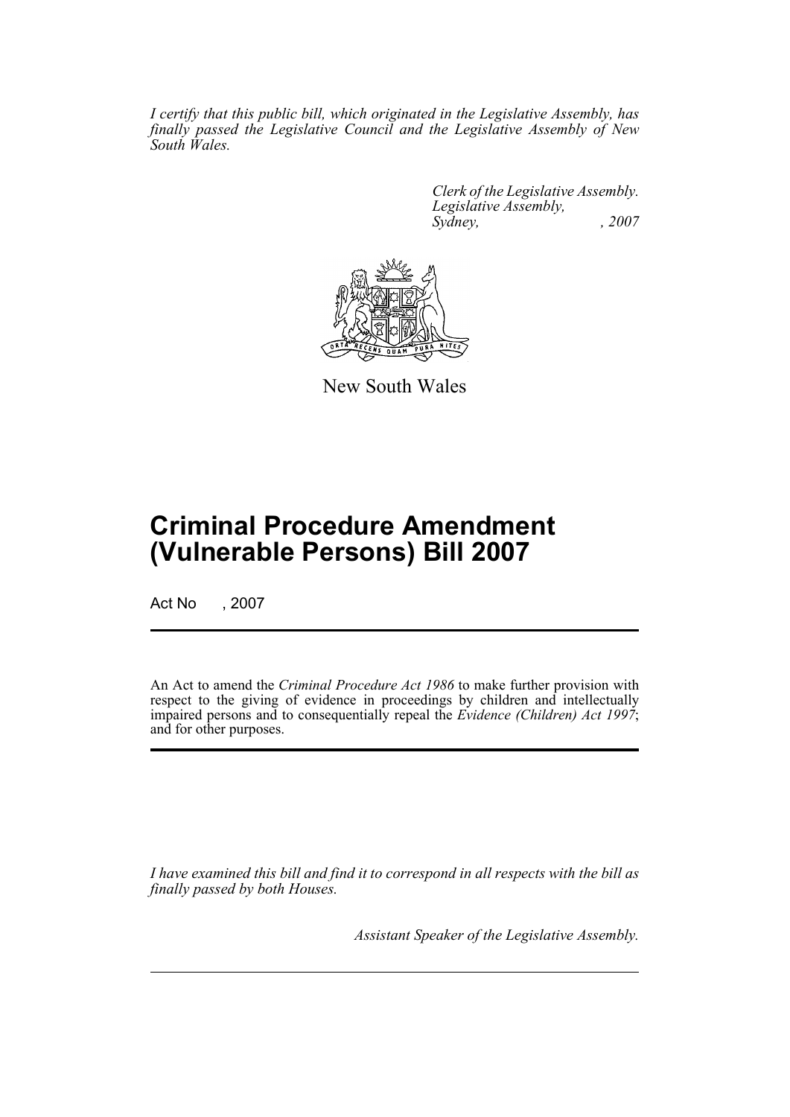*I certify that this public bill, which originated in the Legislative Assembly, has finally passed the Legislative Council and the Legislative Assembly of New South Wales.*

> *Clerk of the Legislative Assembly. Legislative Assembly, Sydney, , 2007*



New South Wales

# **Criminal Procedure Amendment (Vulnerable Persons) Bill 2007**

Act No , 2007

An Act to amend the *Criminal Procedure Act 1986* to make further provision with respect to the giving of evidence in proceedings by children and intellectually impaired persons and to consequentially repeal the *Evidence (Children) Act 1997*; and for other purposes.

*I have examined this bill and find it to correspond in all respects with the bill as finally passed by both Houses.*

*Assistant Speaker of the Legislative Assembly.*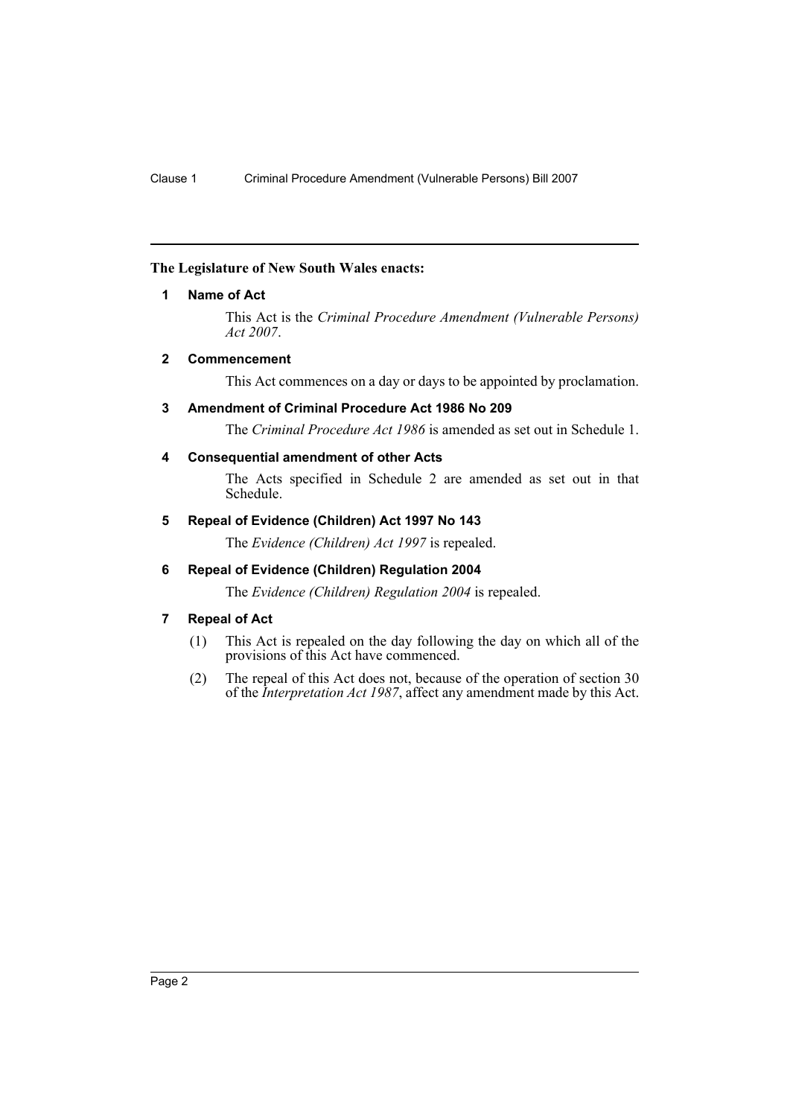# <span id="page-2-0"></span>**The Legislature of New South Wales enacts:**

#### **1 Name of Act**

This Act is the *Criminal Procedure Amendment (Vulnerable Persons) Act 2007*.

#### <span id="page-2-1"></span>**2 Commencement**

This Act commences on a day or days to be appointed by proclamation.

#### <span id="page-2-2"></span>**3 Amendment of Criminal Procedure Act 1986 No 209**

The *Criminal Procedure Act 1986* is amended as set out in Schedule 1.

#### <span id="page-2-3"></span>**4 Consequential amendment of other Acts**

The Acts specified in Schedule 2 are amended as set out in that Schedule.

# <span id="page-2-4"></span>**5 Repeal of Evidence (Children) Act 1997 No 143**

The *Evidence (Children) Act 1997* is repealed.

# <span id="page-2-5"></span>**6 Repeal of Evidence (Children) Regulation 2004**

The *Evidence (Children) Regulation 2004* is repealed.

# <span id="page-2-6"></span>**7 Repeal of Act**

- (1) This Act is repealed on the day following the day on which all of the provisions of this Act have commenced.
- (2) The repeal of this Act does not, because of the operation of section 30 of the *Interpretation Act 1987*, affect any amendment made by this Act.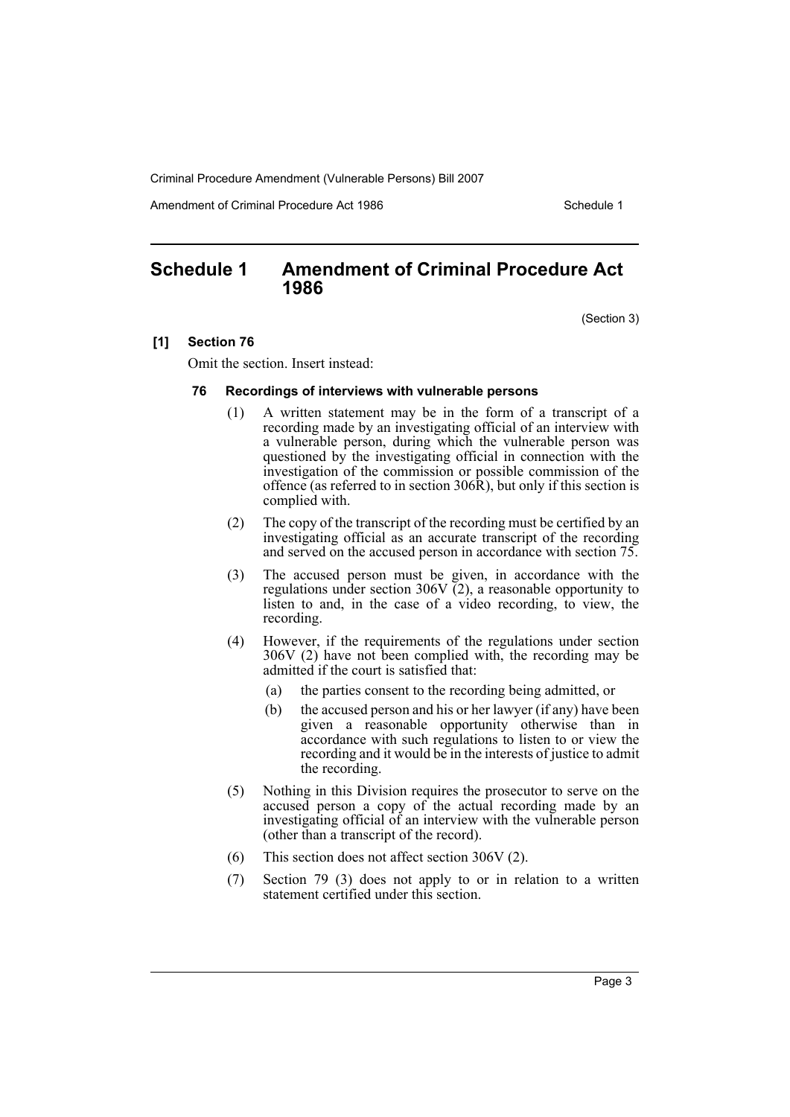Amendment of Criminal Procedure Act 1986 Schedule 1

# <span id="page-3-0"></span>**Schedule 1 Amendment of Criminal Procedure Act 1986**

(Section 3)

#### **[1] Section 76**

Omit the section. Insert instead:

#### **76 Recordings of interviews with vulnerable persons**

- (1) A written statement may be in the form of a transcript of a recording made by an investigating official of an interview with a vulnerable person, during which the vulnerable person was questioned by the investigating official in connection with the investigation of the commission or possible commission of the offence (as referred to in section  $306\hat{R}$ ), but only if this section is complied with.
- (2) The copy of the transcript of the recording must be certified by an investigating official as an accurate transcript of the recording and served on the accused person in accordance with section 75.
- (3) The accused person must be given, in accordance with the regulations under section 306V  $\overline{(2)}$ , a reasonable opportunity to listen to and, in the case of a video recording, to view, the recording.
- (4) However, if the requirements of the regulations under section 306V (2) have not been complied with, the recording may be admitted if the court is satisfied that:
	- (a) the parties consent to the recording being admitted, or
	- (b) the accused person and his or her lawyer (if any) have been given a reasonable opportunity otherwise than in accordance with such regulations to listen to or view the recording and it would be in the interests of justice to admit the recording.
- (5) Nothing in this Division requires the prosecutor to serve on the accused person a copy of the actual recording made by an investigating official of an interview with the vulnerable person (other than a transcript of the record).
- (6) This section does not affect section 306V (2).
- (7) Section 79 (3) does not apply to or in relation to a written statement certified under this section.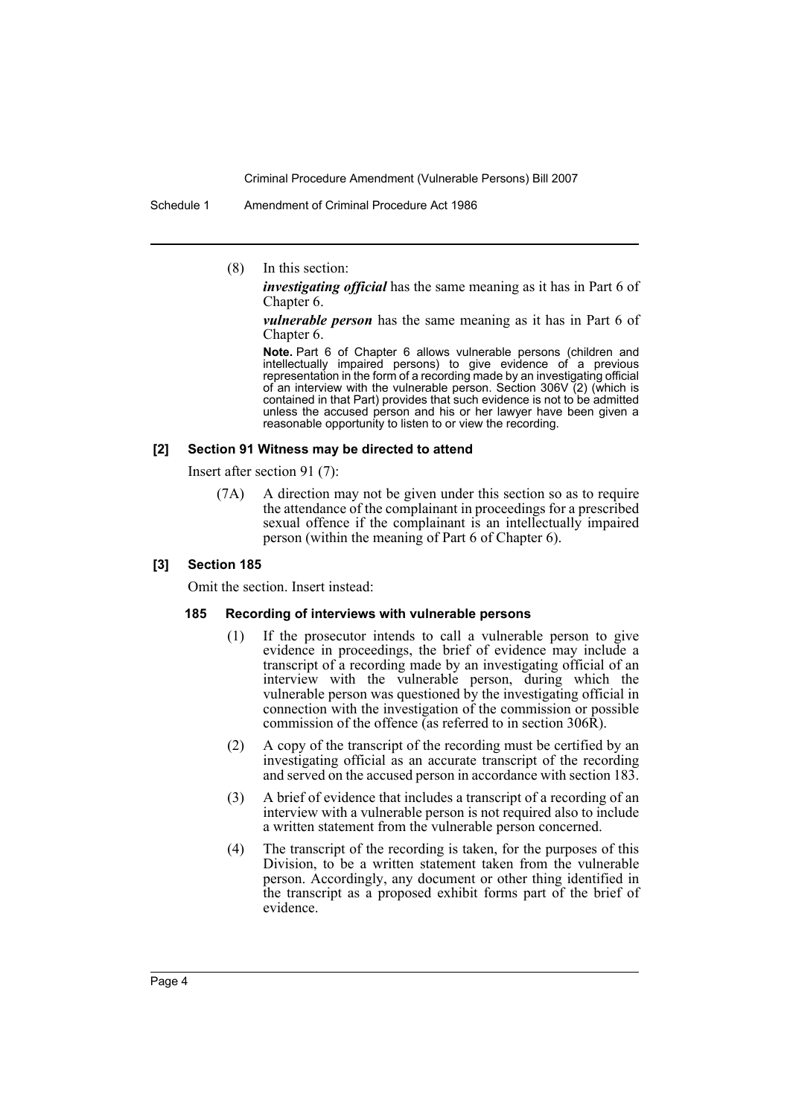Schedule 1 Amendment of Criminal Procedure Act 1986

(8) In this section:

*investigating official* has the same meaning as it has in Part 6 of Chapter 6.

*vulnerable person* has the same meaning as it has in Part 6 of Chapter 6.

Note. Part 6 of Chapter 6 allows vulnerable persons (children and intellectually impaired persons) to give evidence of a previous representation in the form of a recording made by an investigating official of an interview with the vulnerable person. Section 306V (2) (which is contained in that Part) provides that such evidence is not to be admitted unless the accused person and his or her lawyer have been given a reasonable opportunity to listen to or view the recording.

#### **[2] Section 91 Witness may be directed to attend**

Insert after section 91 (7):

(7A) A direction may not be given under this section so as to require the attendance of the complainant in proceedings for a prescribed sexual offence if the complainant is an intellectually impaired person (within the meaning of Part 6 of Chapter 6).

#### **[3] Section 185**

Omit the section. Insert instead:

#### **185 Recording of interviews with vulnerable persons**

- (1) If the prosecutor intends to call a vulnerable person to give evidence in proceedings, the brief of evidence may include a transcript of a recording made by an investigating official of an interview with the vulnerable person, during which the vulnerable person was questioned by the investigating official in connection with the investigation of the commission or possible commission of the offence (as referred to in section 306R).
- (2) A copy of the transcript of the recording must be certified by an investigating official as an accurate transcript of the recording and served on the accused person in accordance with section 183.
- (3) A brief of evidence that includes a transcript of a recording of an interview with a vulnerable person is not required also to include a written statement from the vulnerable person concerned.
- (4) The transcript of the recording is taken, for the purposes of this Division, to be a written statement taken from the vulnerable person. Accordingly, any document or other thing identified in the transcript as a proposed exhibit forms part of the brief of evidence.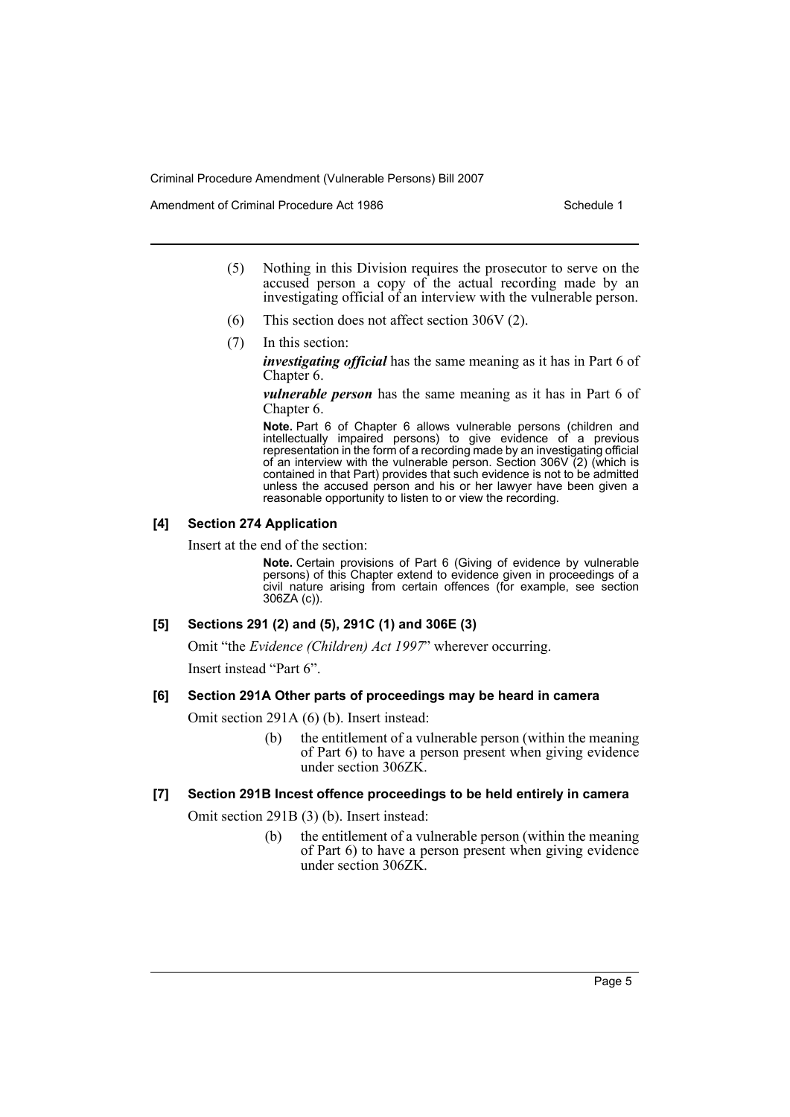Amendment of Criminal Procedure Act 1986 Schedule 1

- (5) Nothing in this Division requires the prosecutor to serve on the accused person a copy of the actual recording made by an investigating official of an interview with the vulnerable person.
- (6) This section does not affect section 306V (2).
- (7) In this section:

*investigating official* has the same meaning as it has in Part 6 of Chapter 6.

*vulnerable person* has the same meaning as it has in Part 6 of Chapter 6.

Note. Part 6 of Chapter 6 allows vulnerable persons (children and intellectually impaired persons) to give evidence of a previous representation in the form of a recording made by an investigating official of an interview with the vulnerable person. Section 306V (2) (which is contained in that Part) provides that such evidence is not to be admitted unless the accused person and his or her lawyer have been given a reasonable opportunity to listen to or view the recording.

#### **[4] Section 274 Application**

Insert at the end of the section:

**Note.** Certain provisions of Part 6 (Giving of evidence by vulnerable persons) of this Chapter extend to evidence given in proceedings of a civil nature arising from certain offences (for example, see section 306ZA (c)).

# **[5] Sections 291 (2) and (5), 291C (1) and 306E (3)**

Omit "the *Evidence (Children) Act 1997*" wherever occurring.

Insert instead "Part 6".

#### **[6] Section 291A Other parts of proceedings may be heard in camera**

- Omit section 291A (6) (b). Insert instead:
	- (b) the entitlement of a vulnerable person (within the meaning of Part 6) to have a person present when giving evidence under section 306ZK.

#### **[7] Section 291B Incest offence proceedings to be held entirely in camera**

Omit section 291B (3) (b). Insert instead:

(b) the entitlement of a vulnerable person (within the meaning of Part 6) to have a person present when giving evidence under section 306ZK.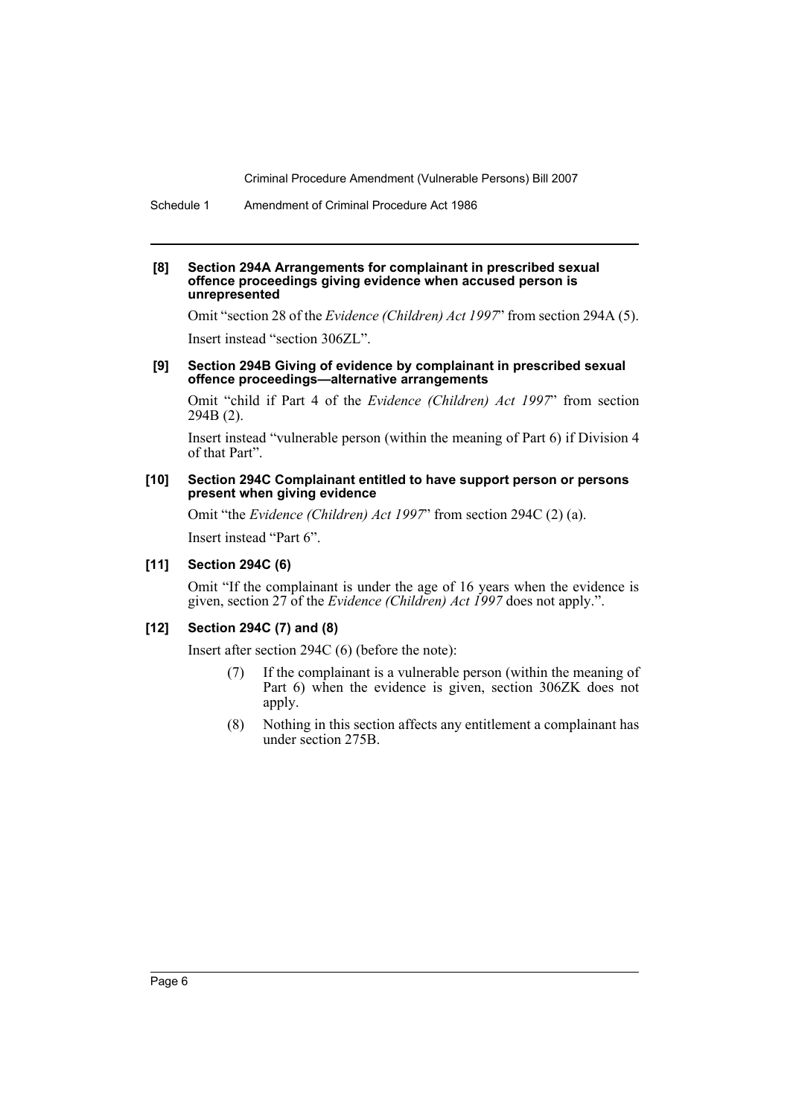Schedule 1 Amendment of Criminal Procedure Act 1986

#### **[8] Section 294A Arrangements for complainant in prescribed sexual offence proceedings giving evidence when accused person is unrepresented**

Omit "section 28 of the *Evidence (Children) Act 1997*" from section 294A (5). Insert instead "section 306ZL".

#### **[9] Section 294B Giving of evidence by complainant in prescribed sexual offence proceedings—alternative arrangements**

Omit "child if Part 4 of the *Evidence (Children) Act 1997*" from section 294B (2).

Insert instead "vulnerable person (within the meaning of Part 6) if Division 4 of that Part".

#### **[10] Section 294C Complainant entitled to have support person or persons present when giving evidence**

Omit "the *Evidence (Children) Act 1997*" from section 294C (2) (a). Insert instead "Part 6".

#### **[11] Section 294C (6)**

Omit "If the complainant is under the age of 16 years when the evidence is given, section 27 of the *Evidence (Children) Act 1997* does not apply.".

#### **[12] Section 294C (7) and (8)**

Insert after section 294C (6) (before the note):

- (7) If the complainant is a vulnerable person (within the meaning of Part 6) when the evidence is given, section 306ZK does not apply.
- (8) Nothing in this section affects any entitlement a complainant has under section 275B.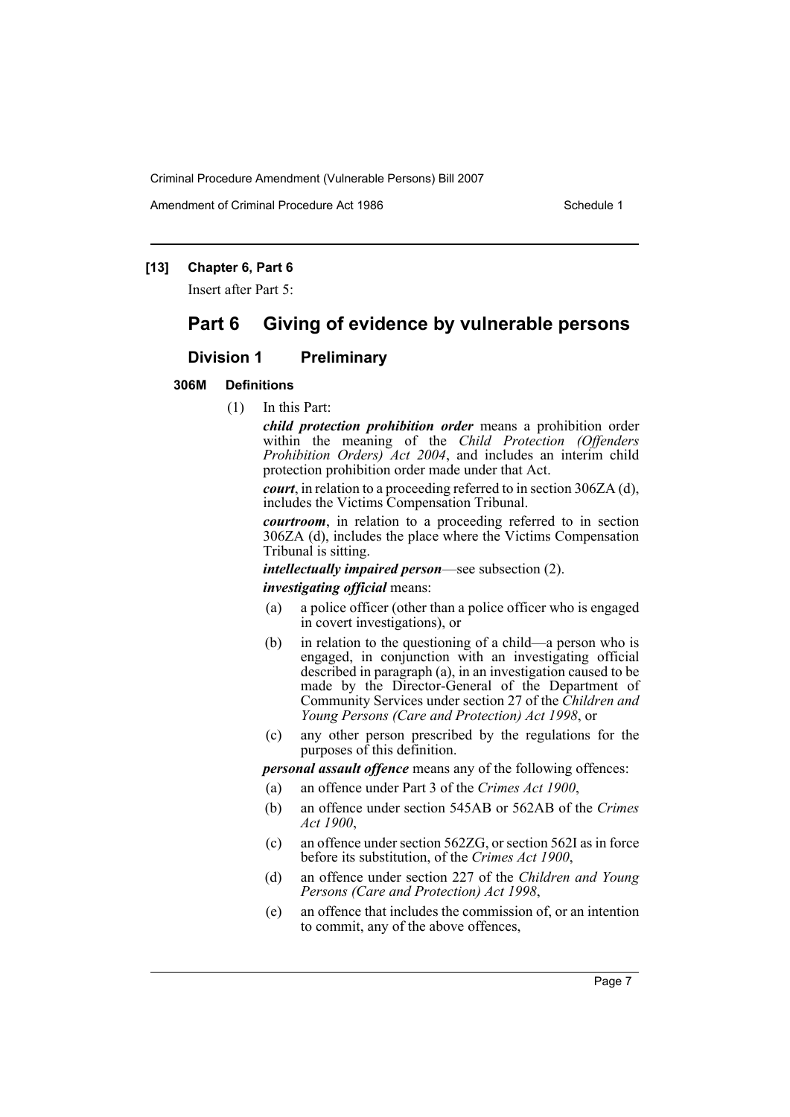Amendment of Criminal Procedure Act 1986 Schedule 1

# **[13] Chapter 6, Part 6**

Insert after Part 5:

# **Part 6 Giving of evidence by vulnerable persons**

# **Division 1 Preliminary**

## **306M Definitions**

(1) In this Part:

*child protection prohibition order* means a prohibition order within the meaning of the *Child Protection (Offenders Prohibition Orders) Act 2004*, and includes an interim child protection prohibition order made under that Act.

*court*, in relation to a proceeding referred to in section 306ZA (d), includes the Victims Compensation Tribunal.

*courtroom*, in relation to a proceeding referred to in section 306ZA (d), includes the place where the Victims Compensation Tribunal is sitting.

*intellectually impaired person*—see subsection (2).

#### *investigating official* means:

- (a) a police officer (other than a police officer who is engaged in covert investigations), or
- (b) in relation to the questioning of a child—a person who is engaged, in conjunction with an investigating official described in paragraph (a), in an investigation caused to be made by the Director-General of the Department of Community Services under section 27 of the *Children and Young Persons (Care and Protection) Act 1998*, or
- (c) any other person prescribed by the regulations for the purposes of this definition.

*personal assault offence* means any of the following offences:

- (a) an offence under Part 3 of the *Crimes Act 1900*,
- (b) an offence under section 545AB or 562AB of the *Crimes Act 1900*,
- (c) an offence under section 562ZG, or section 562I as in force before its substitution, of the *Crimes Act 1900*,
- (d) an offence under section 227 of the *Children and Young Persons (Care and Protection) Act 1998*,
- (e) an offence that includes the commission of, or an intention to commit, any of the above offences,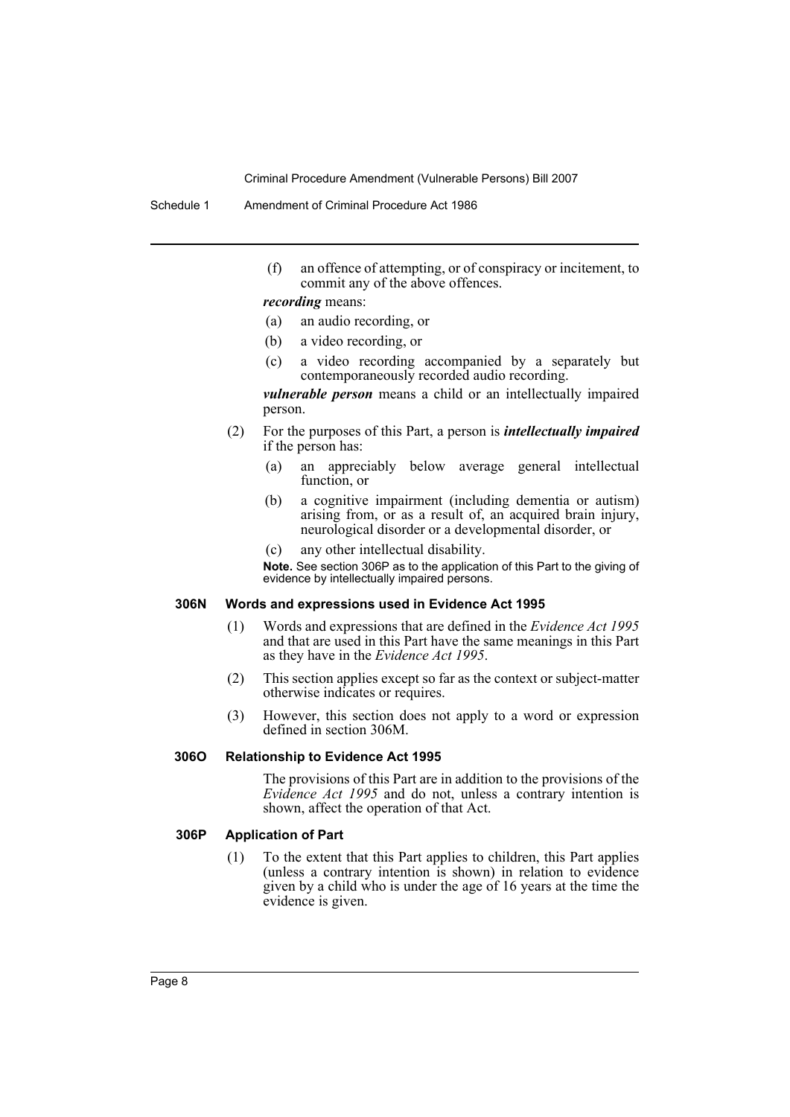Schedule 1 Amendment of Criminal Procedure Act 1986

(f) an offence of attempting, or of conspiracy or incitement, to commit any of the above offences.

*recording* means:

- (a) an audio recording, or
- (b) a video recording, or
- (c) a video recording accompanied by a separately but contemporaneously recorded audio recording.

*vulnerable person* means a child or an intellectually impaired person.

- (2) For the purposes of this Part, a person is *intellectually impaired* if the person has:
	- (a) an appreciably below average general intellectual function, or
	- (b) a cognitive impairment (including dementia or autism) arising from, or as a result of, an acquired brain injury, neurological disorder or a developmental disorder, or
	- (c) any other intellectual disability.

**Note.** See section 306P as to the application of this Part to the giving of evidence by intellectually impaired persons.

## **306N Words and expressions used in Evidence Act 1995**

- (1) Words and expressions that are defined in the *Evidence Act 1995* and that are used in this Part have the same meanings in this Part as they have in the *Evidence Act 1995*.
- (2) This section applies except so far as the context or subject-matter otherwise indicates or requires.
- (3) However, this section does not apply to a word or expression defined in section 306M.

#### **306O Relationship to Evidence Act 1995**

The provisions of this Part are in addition to the provisions of the *Evidence Act 1995* and do not, unless a contrary intention is shown, affect the operation of that Act.

## **306P Application of Part**

(1) To the extent that this Part applies to children, this Part applies (unless a contrary intention is shown) in relation to evidence given by a child who is under the age of 16 years at the time the evidence is given.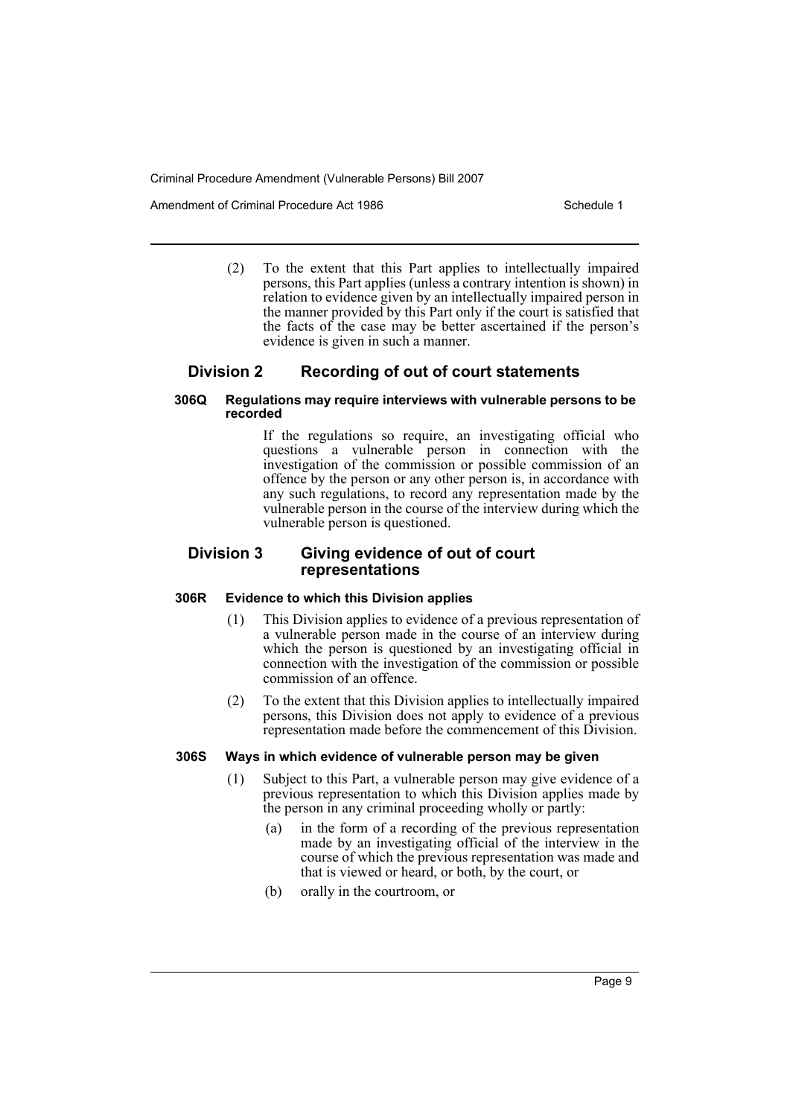Amendment of Criminal Procedure Act 1986 Schedule 1

(2) To the extent that this Part applies to intellectually impaired persons, this Part applies (unless a contrary intention is shown) in relation to evidence given by an intellectually impaired person in the manner provided by this Part only if the court is satisfied that the facts of the case may be better ascertained if the person's evidence is given in such a manner.

# **Division 2 Recording of out of court statements**

#### **306Q Regulations may require interviews with vulnerable persons to be recorded**

If the regulations so require, an investigating official who questions a vulnerable person in connection with the investigation of the commission or possible commission of an offence by the person or any other person is, in accordance with any such regulations, to record any representation made by the vulnerable person in the course of the interview during which the vulnerable person is questioned.

# **Division 3 Giving evidence of out of court representations**

# **306R Evidence to which this Division applies**

- (1) This Division applies to evidence of a previous representation of a vulnerable person made in the course of an interview during which the person is questioned by an investigating official in connection with the investigation of the commission or possible commission of an offence.
- (2) To the extent that this Division applies to intellectually impaired persons, this Division does not apply to evidence of a previous representation made before the commencement of this Division.

# **306S Ways in which evidence of vulnerable person may be given**

- (1) Subject to this Part, a vulnerable person may give evidence of a previous representation to which this Division applies made by the person in any criminal proceeding wholly or partly:
	- (a) in the form of a recording of the previous representation made by an investigating official of the interview in the course of which the previous representation was made and that is viewed or heard, or both, by the court, or
	- (b) orally in the courtroom, or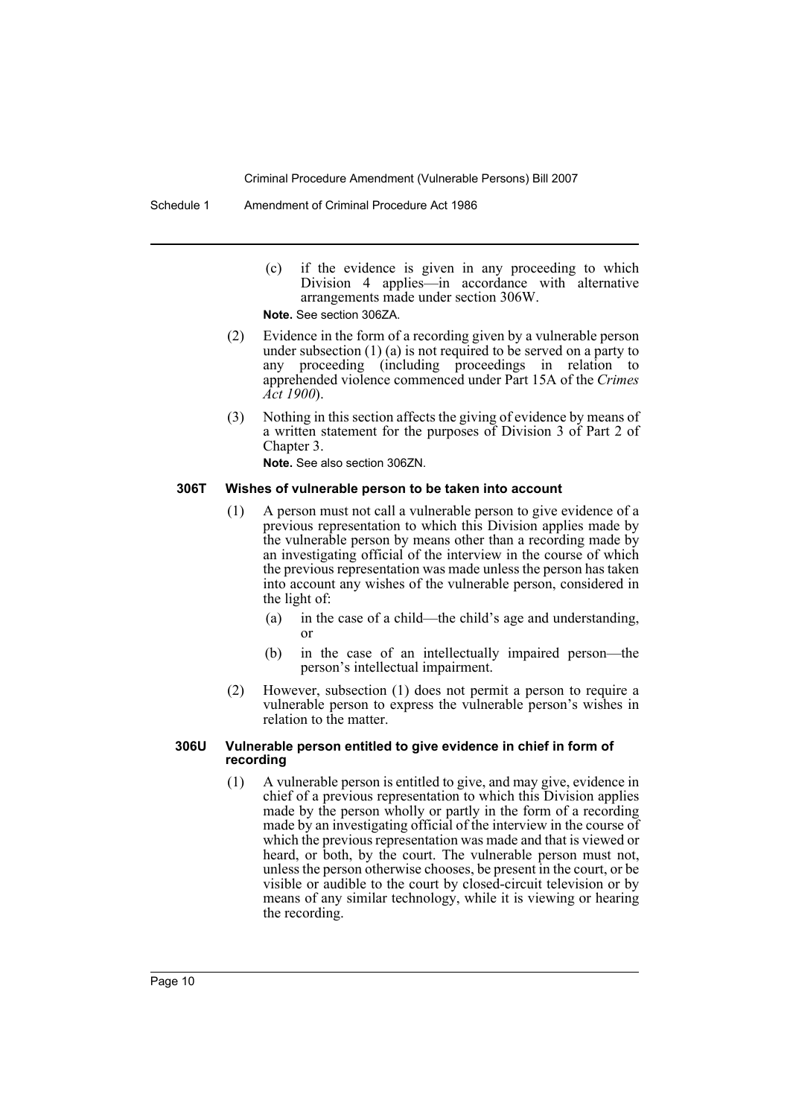- (c) if the evidence is given in any proceeding to which Division 4 applies—in accordance with alternative arrangements made under section 306W. **Note.** See section 306ZA.
- (2) Evidence in the form of a recording given by a vulnerable person under subsection  $(1)$  (a) is not required to be served on a party to any proceeding (including proceedings in relation to proceeding (including proceedings in relation to apprehended violence commenced under Part 15A of the *Crimes Act 1900*).
- (3) Nothing in this section affects the giving of evidence by means of a written statement for the purposes of Division 3 of Part 2 of Chapter 3.

**Note.** See also section 306ZN.

#### **306T Wishes of vulnerable person to be taken into account**

- (1) A person must not call a vulnerable person to give evidence of a previous representation to which this Division applies made by the vulnerable person by means other than a recording made by an investigating official of the interview in the course of which the previous representation was made unless the person has taken into account any wishes of the vulnerable person, considered in the light of:
	- (a) in the case of a child—the child's age and understanding, or
	- (b) in the case of an intellectually impaired person—the person's intellectual impairment.
- (2) However, subsection (1) does not permit a person to require a vulnerable person to express the vulnerable person's wishes in relation to the matter.

#### **306U Vulnerable person entitled to give evidence in chief in form of recording**

(1) A vulnerable person is entitled to give, and may give, evidence in chief of a previous representation to which this Division applies made by the person wholly or partly in the form of a recording made by an investigating official of the interview in the course of which the previous representation was made and that is viewed or heard, or both, by the court. The vulnerable person must not, unless the person otherwise chooses, be present in the court, or be visible or audible to the court by closed-circuit television or by means of any similar technology, while it is viewing or hearing the recording.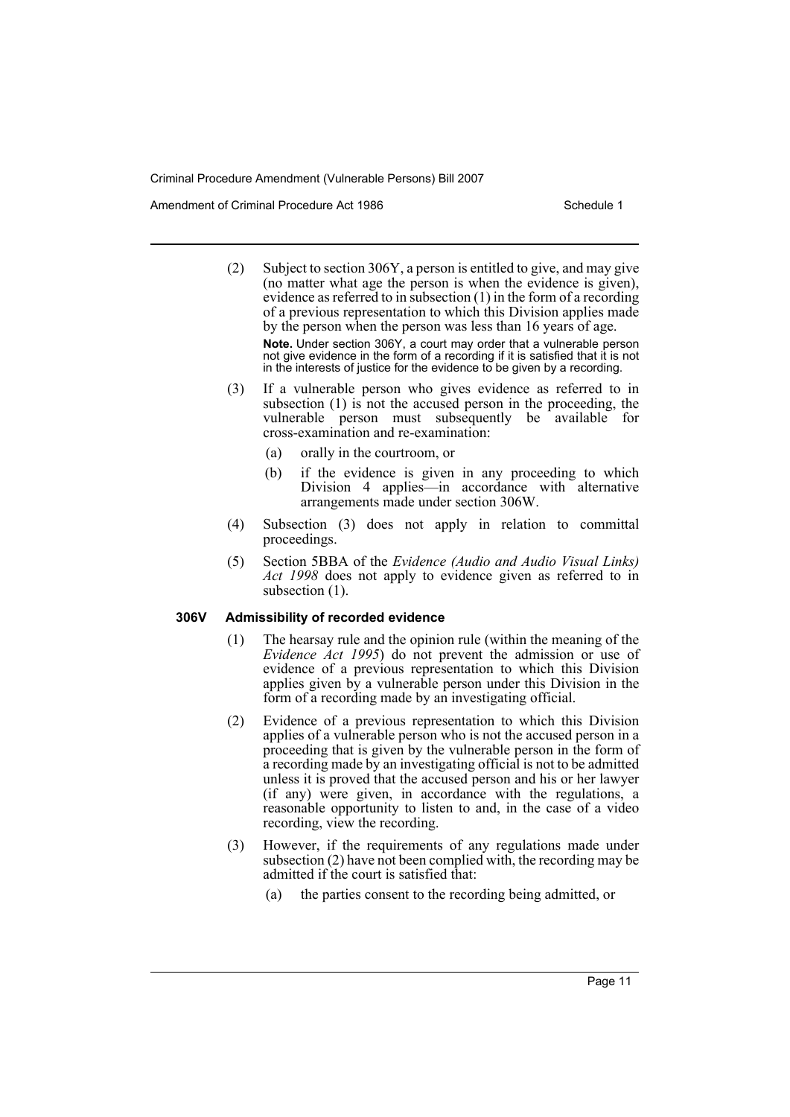Amendment of Criminal Procedure Act 1986 Schedule 1

- (2) Subject to section 306Y, a person is entitled to give, and may give (no matter what age the person is when the evidence is given), evidence as referred to in subsection (1) in the form of a recording of a previous representation to which this Division applies made by the person when the person was less than 16 years of age. **Note.** Under section 306Y, a court may order that a vulnerable person not give evidence in the form of a recording if it is satisfied that it is not in the interests of justice for the evidence to be given by a recording.
- (3) If a vulnerable person who gives evidence as referred to in subsection (1) is not the accused person in the proceeding, the vulnerable person must subsequently be available for cross-examination and re-examination:
	- (a) orally in the courtroom, or
	- (b) if the evidence is given in any proceeding to which Division 4 applies—in accordance with alternative arrangements made under section 306W.
- (4) Subsection (3) does not apply in relation to committal proceedings.
- (5) Section 5BBA of the *Evidence (Audio and Audio Visual Links) Act 1998* does not apply to evidence given as referred to in subsection  $(1)$ .

#### **306V Admissibility of recorded evidence**

- (1) The hearsay rule and the opinion rule (within the meaning of the *Evidence Act 1995*) do not prevent the admission or use of evidence of a previous representation to which this Division applies given by a vulnerable person under this Division in the form of a recording made by an investigating official.
- (2) Evidence of a previous representation to which this Division applies of a vulnerable person who is not the accused person in a proceeding that is given by the vulnerable person in the form of a recording made by an investigating official is not to be admitted unless it is proved that the accused person and his or her lawyer (if any) were given, in accordance with the regulations, a reasonable opportunity to listen to and, in the case of a video recording, view the recording.
- (3) However, if the requirements of any regulations made under subsection (2) have not been complied with, the recording may be admitted if the court is satisfied that:
	- (a) the parties consent to the recording being admitted, or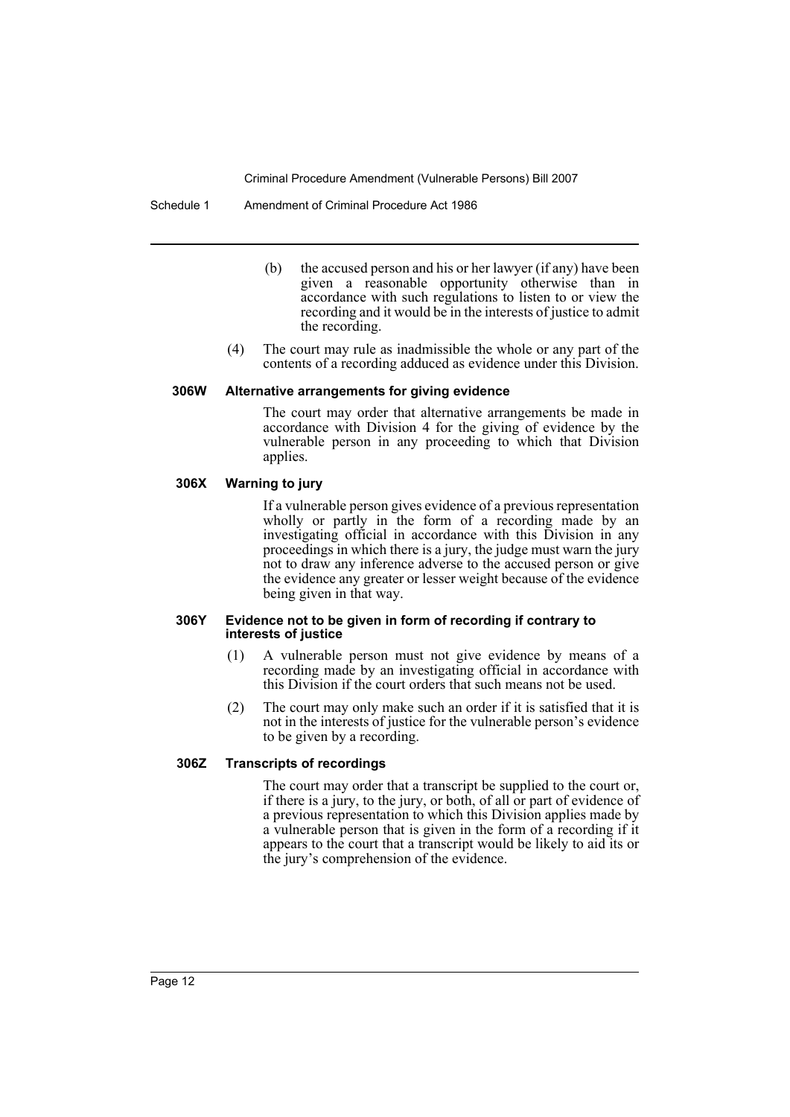Schedule 1 Amendment of Criminal Procedure Act 1986

- (b) the accused person and his or her lawyer (if any) have been given a reasonable opportunity otherwise than in accordance with such regulations to listen to or view the recording and it would be in the interests of justice to admit the recording.
- (4) The court may rule as inadmissible the whole or any part of the contents of a recording adduced as evidence under this Division.

#### **306W Alternative arrangements for giving evidence**

The court may order that alternative arrangements be made in accordance with Division 4 for the giving of evidence by the vulnerable person in any proceeding to which that Division applies.

#### **306X Warning to jury**

If a vulnerable person gives evidence of a previous representation wholly or partly in the form of a recording made by an investigating official in accordance with this Division in any proceedings in which there is a jury, the judge must warn the jury not to draw any inference adverse to the accused person or give the evidence any greater or lesser weight because of the evidence being given in that way.

#### **306Y Evidence not to be given in form of recording if contrary to interests of justice**

- (1) A vulnerable person must not give evidence by means of a recording made by an investigating official in accordance with this Division if the court orders that such means not be used.
- (2) The court may only make such an order if it is satisfied that it is not in the interests of justice for the vulnerable person's evidence to be given by a recording.

# **306Z Transcripts of recordings**

The court may order that a transcript be supplied to the court or, if there is a jury, to the jury, or both, of all or part of evidence of a previous representation to which this Division applies made by a vulnerable person that is given in the form of a recording if it appears to the court that a transcript would be likely to aid its or the jury's comprehension of the evidence.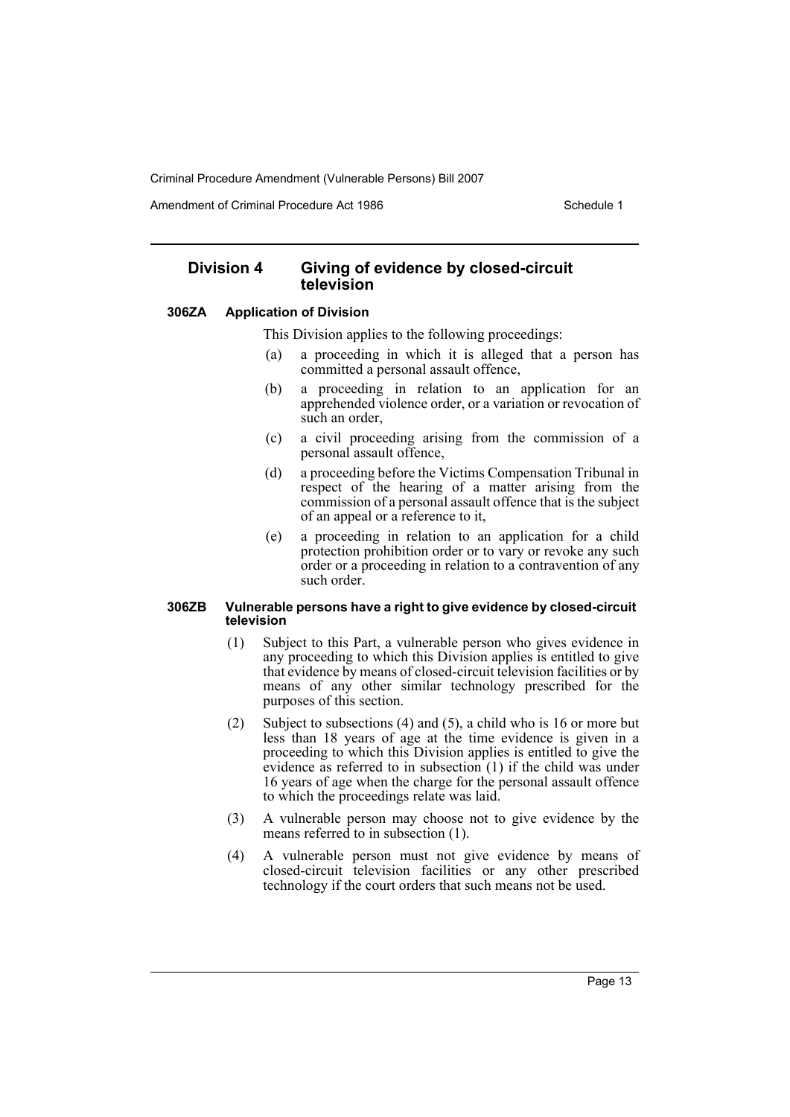Amendment of Criminal Procedure Act 1986 Schedule 1

# **Division 4 Giving of evidence by closed-circuit television**

#### **306ZA Application of Division**

This Division applies to the following proceedings:

- (a) a proceeding in which it is alleged that a person has committed a personal assault offence,
- (b) a proceeding in relation to an application for an apprehended violence order, or a variation or revocation of such an order,
- (c) a civil proceeding arising from the commission of a personal assault offence,
- (d) a proceeding before the Victims Compensation Tribunal in respect of the hearing of a matter arising from the commission of a personal assault offence that is the subject of an appeal or a reference to it,
- (e) a proceeding in relation to an application for a child protection prohibition order or to vary or revoke any such order or a proceeding in relation to a contravention of any such order.

#### **306ZB Vulnerable persons have a right to give evidence by closed-circuit television**

- (1) Subject to this Part, a vulnerable person who gives evidence in any proceeding to which this Division applies is entitled to give that evidence by means of closed-circuit television facilities or by means of any other similar technology prescribed for the purposes of this section.
- (2) Subject to subsections (4) and (5), a child who is 16 or more but less than 18 years of age at the time evidence is given in a proceeding to which this Division applies is entitled to give the evidence as referred to in subsection  $(1)$  if the child was under 16 years of age when the charge for the personal assault offence to which the proceedings relate was laid.
- (3) A vulnerable person may choose not to give evidence by the means referred to in subsection (1).
- (4) A vulnerable person must not give evidence by means of closed-circuit television facilities or any other prescribed technology if the court orders that such means not be used.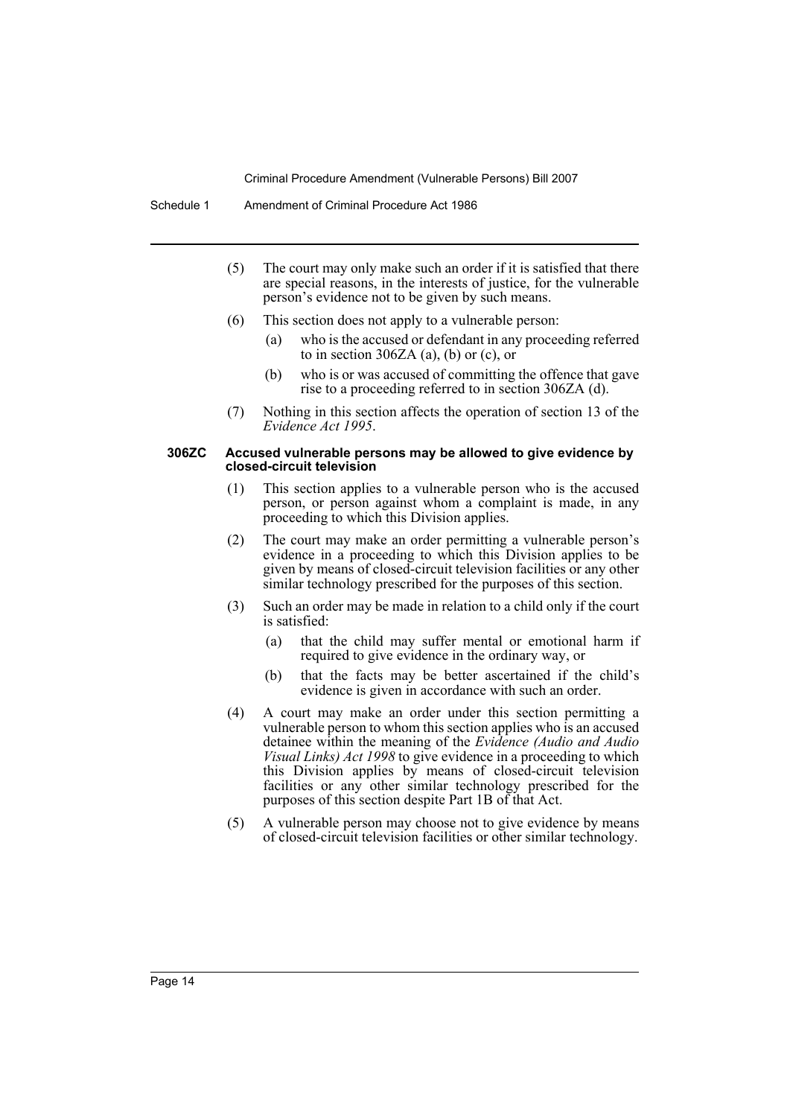- (5) The court may only make such an order if it is satisfied that there are special reasons, in the interests of justice, for the vulnerable person's evidence not to be given by such means.
- (6) This section does not apply to a vulnerable person:
	- (a) who is the accused or defendant in any proceeding referred to in section 306ZA (a), (b) or (c), or
	- (b) who is or was accused of committing the offence that gave rise to a proceeding referred to in section 306ZA (d).
- (7) Nothing in this section affects the operation of section 13 of the *Evidence Act 1995*.

#### **306ZC Accused vulnerable persons may be allowed to give evidence by closed-circuit television**

- (1) This section applies to a vulnerable person who is the accused person, or person against whom a complaint is made, in any proceeding to which this Division applies.
- (2) The court may make an order permitting a vulnerable person's evidence in a proceeding to which this Division applies to be given by means of closed-circuit television facilities or any other similar technology prescribed for the purposes of this section.
- (3) Such an order may be made in relation to a child only if the court is satisfied:
	- (a) that the child may suffer mental or emotional harm if required to give evidence in the ordinary way, or
	- (b) that the facts may be better ascertained if the child's evidence is given in accordance with such an order.
- (4) A court may make an order under this section permitting a vulnerable person to whom this section applies who is an accused detainee within the meaning of the *Evidence (Audio and Audio Visual Links) Act 1998* to give evidence in a proceeding to which this Division applies by means of closed-circuit television facilities or any other similar technology prescribed for the purposes of this section despite Part 1B of that Act.
- (5) A vulnerable person may choose not to give evidence by means of closed-circuit television facilities or other similar technology.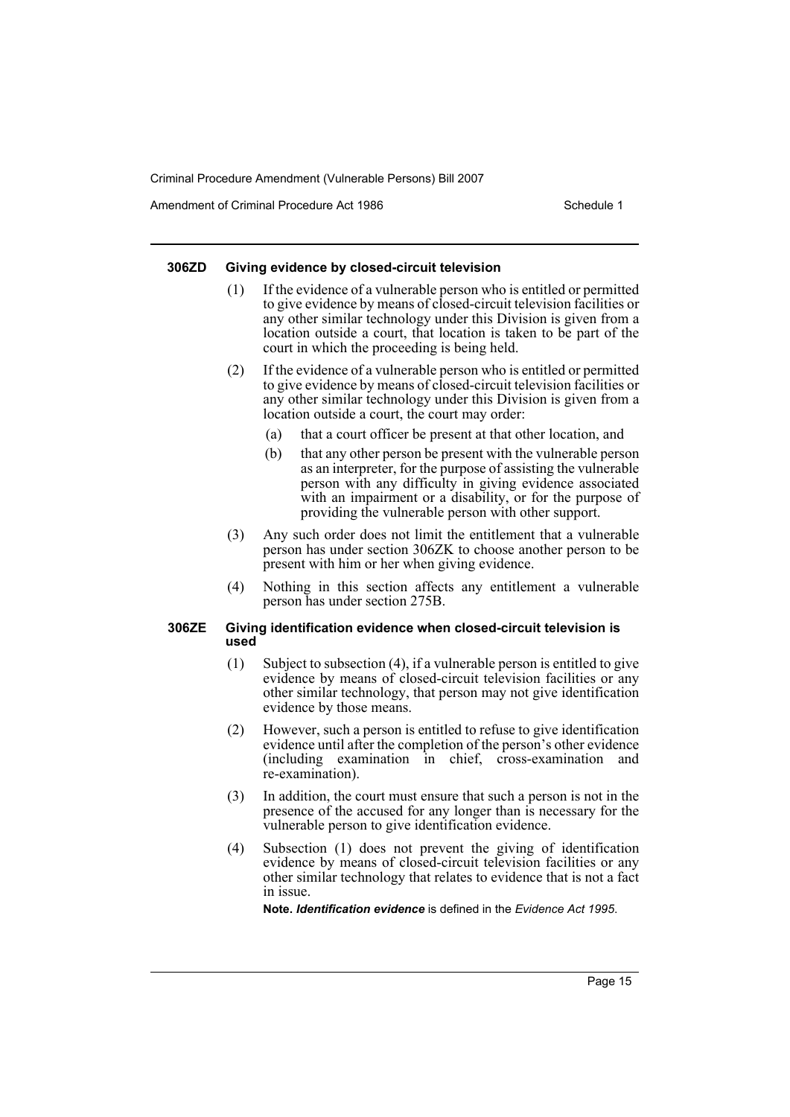Amendment of Criminal Procedure Act 1986 Schedule 1

#### **306ZD Giving evidence by closed-circuit television**

- (1) If the evidence of a vulnerable person who is entitled or permitted to give evidence by means of closed-circuit television facilities or any other similar technology under this Division is given from a location outside a court, that location is taken to be part of the court in which the proceeding is being held.
- (2) If the evidence of a vulnerable person who is entitled or permitted to give evidence by means of closed-circuit television facilities or any other similar technology under this Division is given from a location outside a court, the court may order:
	- (a) that a court officer be present at that other location, and
	- (b) that any other person be present with the vulnerable person as an interpreter, for the purpose of assisting the vulnerable person with any difficulty in giving evidence associated with an impairment or a disability, or for the purpose of providing the vulnerable person with other support.
- (3) Any such order does not limit the entitlement that a vulnerable person has under section 306ZK to choose another person to be present with him or her when giving evidence.
- (4) Nothing in this section affects any entitlement a vulnerable person has under section 275B.

#### **306ZE Giving identification evidence when closed-circuit television is used**

- (1) Subject to subsection (4), if a vulnerable person is entitled to give evidence by means of closed-circuit television facilities or any other similar technology, that person may not give identification evidence by those means.
- (2) However, such a person is entitled to refuse to give identification evidence until after the completion of the person's other evidence (including examination in chief, cross-examination and re-examination).
- (3) In addition, the court must ensure that such a person is not in the presence of the accused for any longer than is necessary for the vulnerable person to give identification evidence.
- (4) Subsection (1) does not prevent the giving of identification evidence by means of closed-circuit television facilities or any other similar technology that relates to evidence that is not a fact in issue.

**Note.** *Identification evidence* is defined in the *Evidence Act 1995*.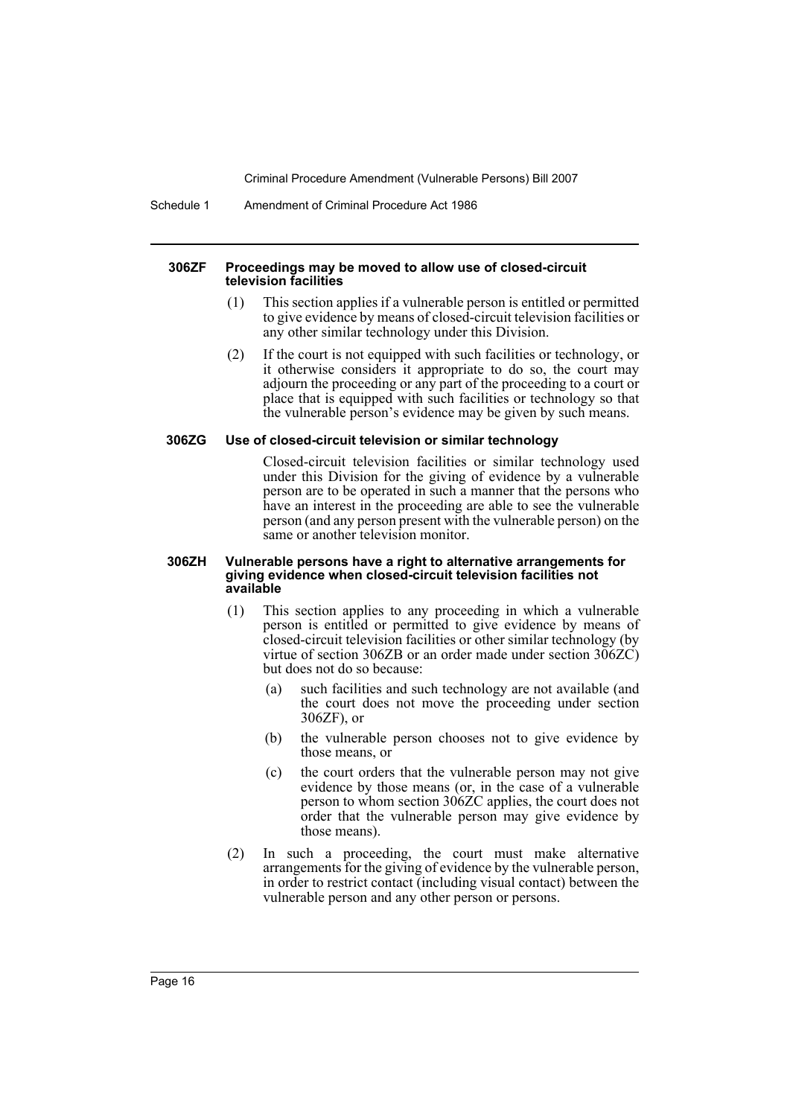Schedule 1 Amendment of Criminal Procedure Act 1986

#### **306ZF Proceedings may be moved to allow use of closed-circuit television facilities**

- (1) This section applies if a vulnerable person is entitled or permitted to give evidence by means of closed-circuit television facilities or any other similar technology under this Division.
- (2) If the court is not equipped with such facilities or technology, or it otherwise considers it appropriate to do so, the court may adjourn the proceeding or any part of the proceeding to a court or place that is equipped with such facilities or technology so that the vulnerable person's evidence may be given by such means.

#### **306ZG Use of closed-circuit television or similar technology**

Closed-circuit television facilities or similar technology used under this Division for the giving of evidence by a vulnerable person are to be operated in such a manner that the persons who have an interest in the proceeding are able to see the vulnerable person (and any person present with the vulnerable person) on the same or another television monitor.

#### **306ZH Vulnerable persons have a right to alternative arrangements for giving evidence when closed-circuit television facilities not available**

- (1) This section applies to any proceeding in which a vulnerable person is entitled or permitted to give evidence by means of closed-circuit television facilities or other similar technology (by virtue of section 306ZB or an order made under section 306ZC) but does not do so because:
	- (a) such facilities and such technology are not available (and the court does not move the proceeding under section 306ZF), or
	- (b) the vulnerable person chooses not to give evidence by those means, or
	- (c) the court orders that the vulnerable person may not give evidence by those means (or, in the case of a vulnerable person to whom section 306ZC applies, the court does not order that the vulnerable person may give evidence by those means).
- (2) In such a proceeding, the court must make alternative arrangements for the giving of evidence by the vulnerable person, in order to restrict contact (including visual contact) between the vulnerable person and any other person or persons.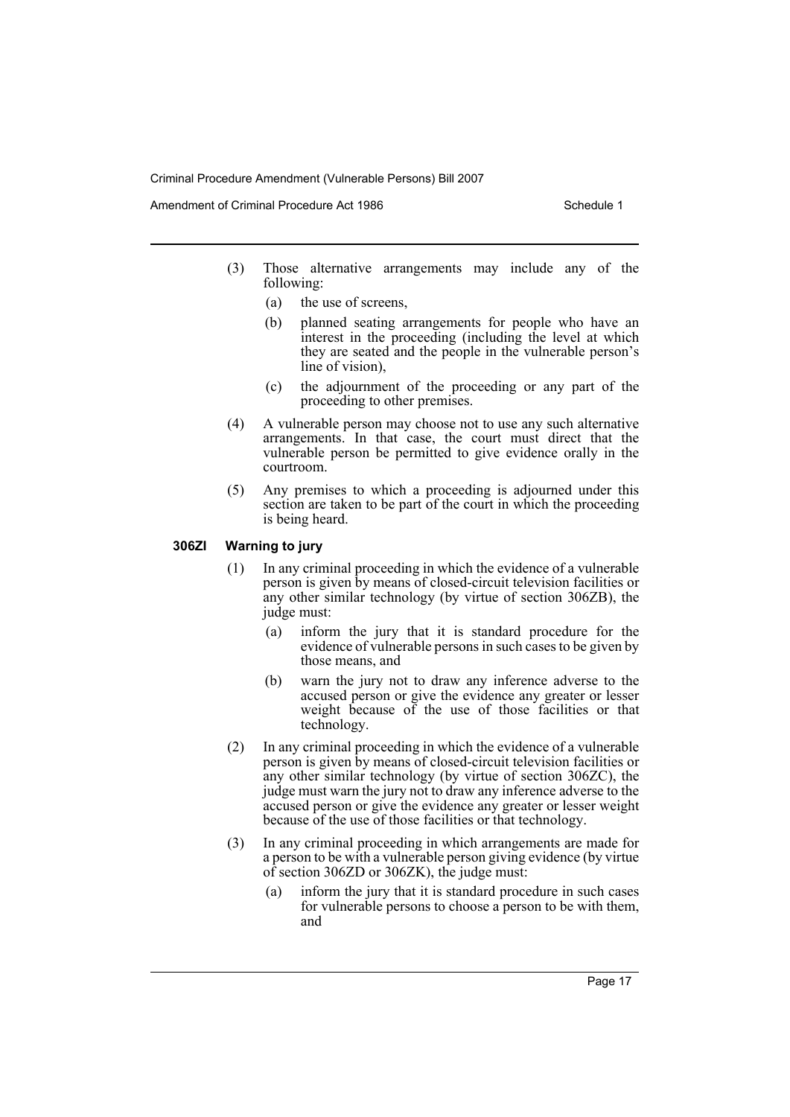Amendment of Criminal Procedure Act 1986 Schedule 1

- (3) Those alternative arrangements may include any of the following:
	- (a) the use of screens,
	- (b) planned seating arrangements for people who have an interest in the proceeding (including the level at which they are seated and the people in the vulnerable person's line of vision),
	- (c) the adjournment of the proceeding or any part of the proceeding to other premises.
- (4) A vulnerable person may choose not to use any such alternative arrangements. In that case, the court must direct that the vulnerable person be permitted to give evidence orally in the courtroom.
- (5) Any premises to which a proceeding is adjourned under this section are taken to be part of the court in which the proceeding is being heard.

#### **306ZI Warning to jury**

- (1) In any criminal proceeding in which the evidence of a vulnerable person is given by means of closed-circuit television facilities or any other similar technology (by virtue of section 306ZB), the judge must:
	- (a) inform the jury that it is standard procedure for the evidence of vulnerable persons in such cases to be given by those means, and
	- (b) warn the jury not to draw any inference adverse to the accused person or give the evidence any greater or lesser weight because of the use of those facilities or that technology.
- (2) In any criminal proceeding in which the evidence of a vulnerable person is given by means of closed-circuit television facilities or any other similar technology (by virtue of section 306ZC), the judge must warn the jury not to draw any inference adverse to the accused person or give the evidence any greater or lesser weight because of the use of those facilities or that technology.
- (3) In any criminal proceeding in which arrangements are made for a person to be with a vulnerable person giving evidence (by virtue of section 306ZD or 306ZK), the judge must:
	- (a) inform the jury that it is standard procedure in such cases for vulnerable persons to choose a person to be with them, and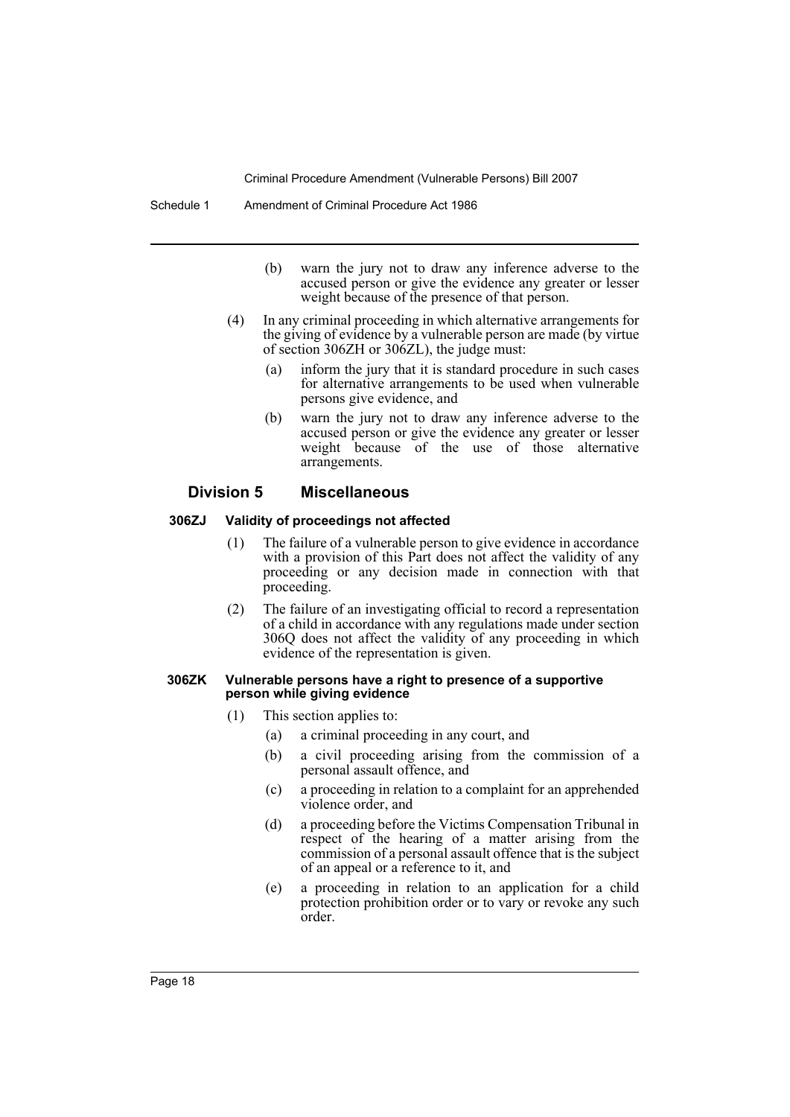- (b) warn the jury not to draw any inference adverse to the accused person or give the evidence any greater or lesser weight because of the presence of that person.
- (4) In any criminal proceeding in which alternative arrangements for the giving of evidence by a vulnerable person are made (by virtue of section 306ZH or 306ZL), the judge must:
	- (a) inform the jury that it is standard procedure in such cases for alternative arrangements to be used when vulnerable persons give evidence, and
	- (b) warn the jury not to draw any inference adverse to the accused person or give the evidence any greater or lesser weight because of the use of those alternative arrangements.

#### **Division 5 Miscellaneous**

#### **306ZJ Validity of proceedings not affected**

- (1) The failure of a vulnerable person to give evidence in accordance with a provision of this Part does not affect the validity of any proceeding or any decision made in connection with that proceeding.
- (2) The failure of an investigating official to record a representation of a child in accordance with any regulations made under section 306Q does not affect the validity of any proceeding in which evidence of the representation is given.

#### **306ZK Vulnerable persons have a right to presence of a supportive person while giving evidence**

- (1) This section applies to:
	- (a) a criminal proceeding in any court, and
	- (b) a civil proceeding arising from the commission of a personal assault offence, and
	- (c) a proceeding in relation to a complaint for an apprehended violence order, and
	- (d) a proceeding before the Victims Compensation Tribunal in respect of the hearing of a matter arising from the commission of a personal assault offence that is the subject of an appeal or a reference to it, and
	- (e) a proceeding in relation to an application for a child protection prohibition order or to vary or revoke any such order.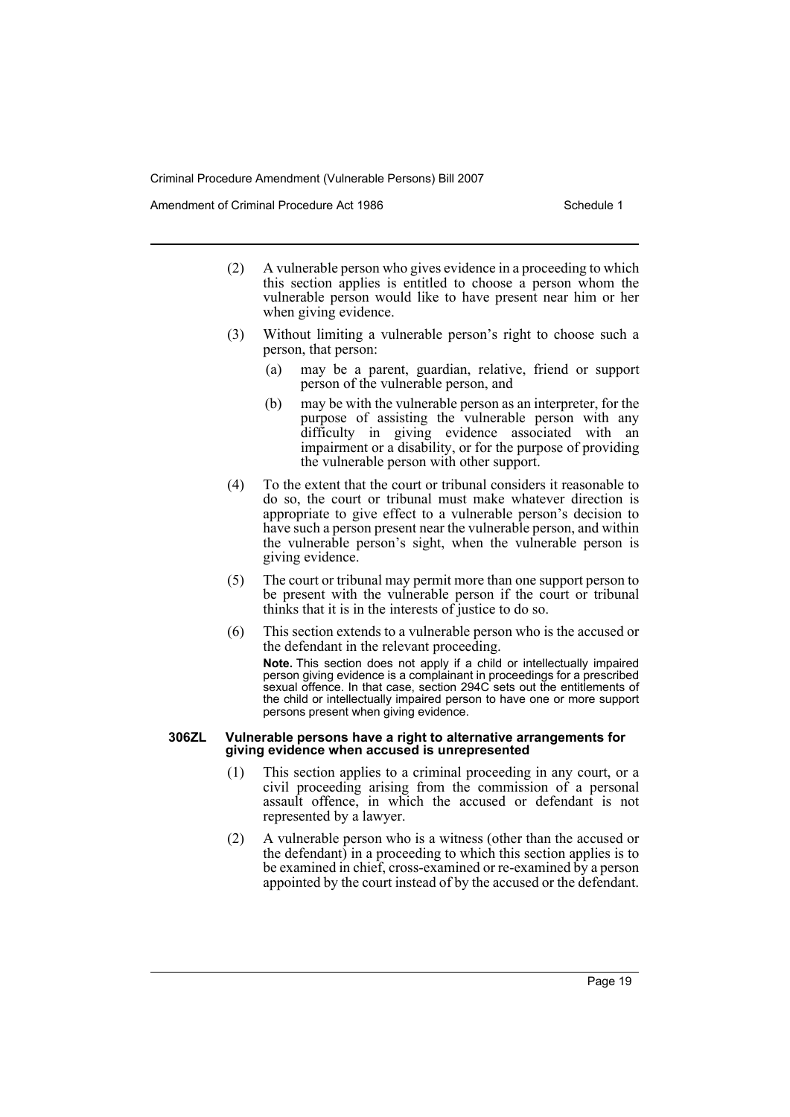Amendment of Criminal Procedure Act 1986 Schedule 1

- (2) A vulnerable person who gives evidence in a proceeding to which this section applies is entitled to choose a person whom the vulnerable person would like to have present near him or her when giving evidence.
- (3) Without limiting a vulnerable person's right to choose such a person, that person:
	- (a) may be a parent, guardian, relative, friend or support person of the vulnerable person, and
	- (b) may be with the vulnerable person as an interpreter, for the purpose of assisting the vulnerable person with any difficulty in giving evidence associated with an impairment or a disability, or for the purpose of providing the vulnerable person with other support.
- (4) To the extent that the court or tribunal considers it reasonable to do so, the court or tribunal must make whatever direction is appropriate to give effect to a vulnerable person's decision to have such a person present near the vulnerable person, and within the vulnerable person's sight, when the vulnerable person is giving evidence.
- (5) The court or tribunal may permit more than one support person to be present with the vulnerable person if the court or tribunal thinks that it is in the interests of justice to do so.
- (6) This section extends to a vulnerable person who is the accused or the defendant in the relevant proceeding.

**Note.** This section does not apply if a child or intellectually impaired person giving evidence is a complainant in proceedings for a prescribed sexual offence. In that case, section 294C sets out the entitlements of the child or intellectually impaired person to have one or more support persons present when giving evidence.

#### **306ZL Vulnerable persons have a right to alternative arrangements for giving evidence when accused is unrepresented**

- (1) This section applies to a criminal proceeding in any court, or a civil proceeding arising from the commission of a personal assault offence, in which the accused or defendant is not represented by a lawyer.
- (2) A vulnerable person who is a witness (other than the accused or the defendant) in a proceeding to which this section applies is to be examined in chief, cross-examined or re-examined by a person appointed by the court instead of by the accused or the defendant.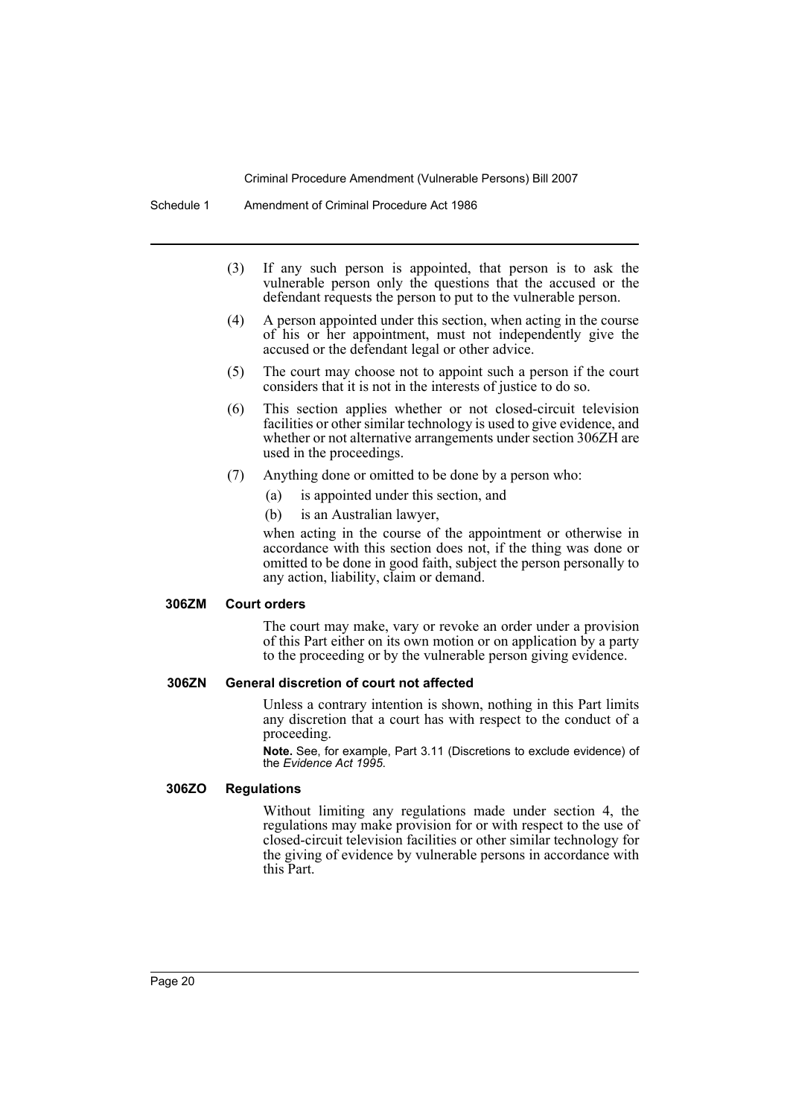- (3) If any such person is appointed, that person is to ask the vulnerable person only the questions that the accused or the defendant requests the person to put to the vulnerable person.
- (4) A person appointed under this section, when acting in the course of his or her appointment, must not independently give the accused or the defendant legal or other advice.
- (5) The court may choose not to appoint such a person if the court considers that it is not in the interests of justice to do so.
- (6) This section applies whether or not closed-circuit television facilities or other similar technology is used to give evidence, and whether or not alternative arrangements under section 306ZH are used in the proceedings.
- (7) Anything done or omitted to be done by a person who:
	- (a) is appointed under this section, and
	- (b) is an Australian lawyer,

when acting in the course of the appointment or otherwise in accordance with this section does not, if the thing was done or omitted to be done in good faith, subject the person personally to any action, liability, claim or demand.

#### **306ZM Court orders**

The court may make, vary or revoke an order under a provision of this Part either on its own motion or on application by a party to the proceeding or by the vulnerable person giving evidence.

#### **306ZN General discretion of court not affected**

Unless a contrary intention is shown, nothing in this Part limits any discretion that a court has with respect to the conduct of a proceeding.

**Note.** See, for example, Part 3.11 (Discretions to exclude evidence) of the *Evidence Act 1995*.

#### **306ZO Regulations**

Without limiting any regulations made under section 4, the regulations may make provision for or with respect to the use of closed-circuit television facilities or other similar technology for the giving of evidence by vulnerable persons in accordance with this Part.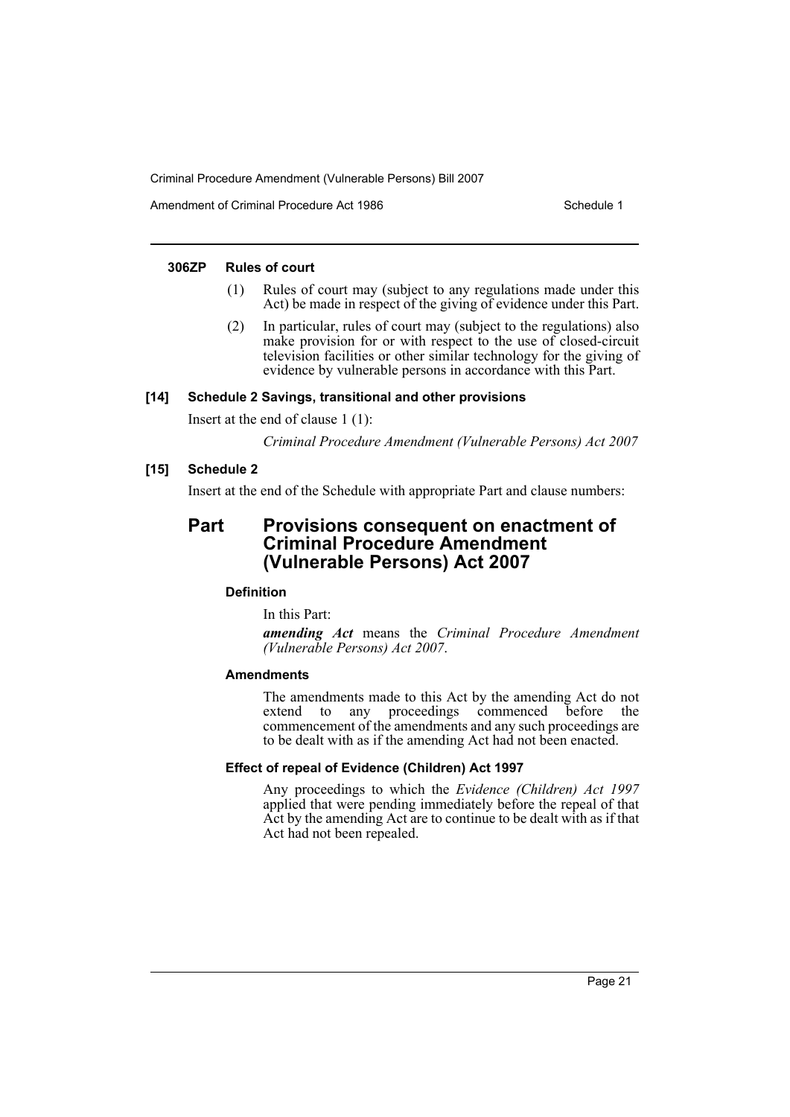Amendment of Criminal Procedure Act 1986 Schedule 1

#### **306ZP Rules of court**

- (1) Rules of court may (subject to any regulations made under this Act) be made in respect of the giving of evidence under this Part.
- (2) In particular, rules of court may (subject to the regulations) also make provision for or with respect to the use of closed-circuit television facilities or other similar technology for the giving of evidence by vulnerable persons in accordance with this Part.

#### **[14] Schedule 2 Savings, transitional and other provisions**

Insert at the end of clause 1 (1):

*Criminal Procedure Amendment (Vulnerable Persons) Act 2007*

#### **[15] Schedule 2**

Insert at the end of the Schedule with appropriate Part and clause numbers:

# **Part Provisions consequent on enactment of Criminal Procedure Amendment (Vulnerable Persons) Act 2007**

## **Definition**

In this Part:

*amending Act* means the *Criminal Procedure Amendment (Vulnerable Persons) Act 2007*.

#### **Amendments**

The amendments made to this Act by the amending Act do not extend to any proceedings commenced before the commencement of the amendments and any such proceedings are to be dealt with as if the amending Act had not been enacted.

#### **Effect of repeal of Evidence (Children) Act 1997**

Any proceedings to which the *Evidence (Children) Act 1997* applied that were pending immediately before the repeal of that Act by the amending Act are to continue to be dealt with as if that Act had not been repealed.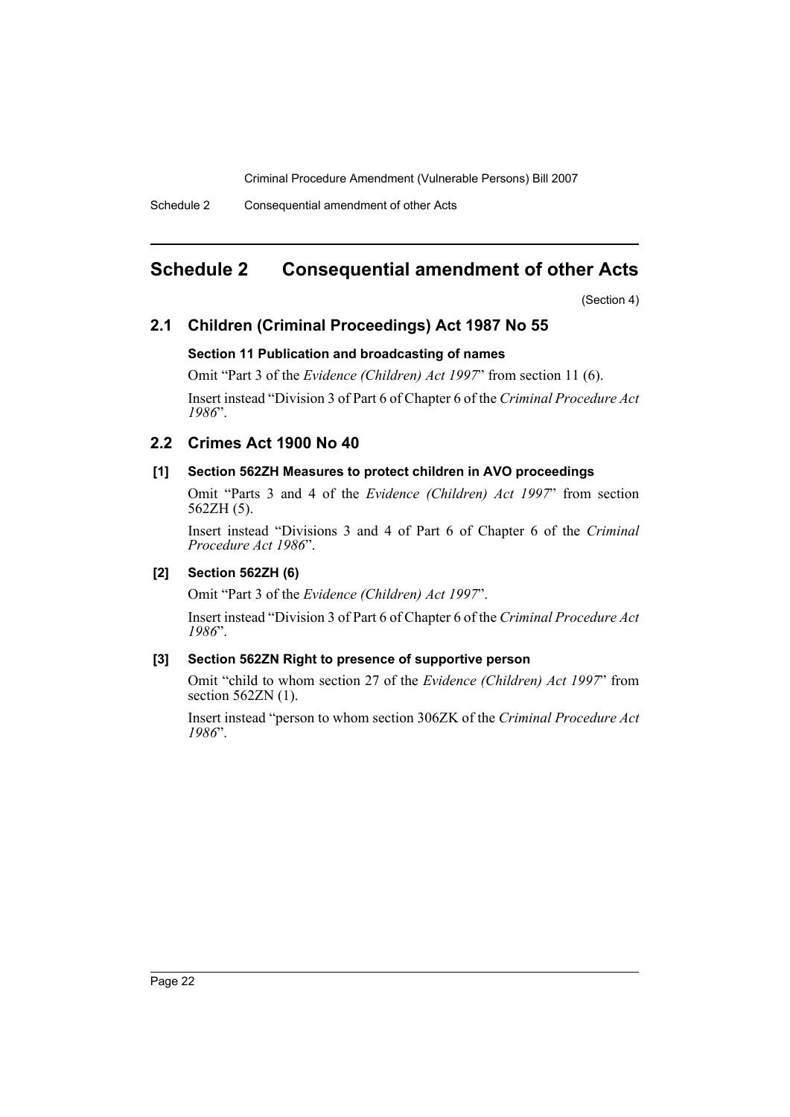Schedule 2 Consequential amendment of other Acts

# <span id="page-22-0"></span>**Schedule 2 Consequential amendment of other Acts**

(Section 4)

# **2.1 Children (Criminal Proceedings) Act 1987 No 55**

# **Section 11 Publication and broadcasting of names**

Omit "Part 3 of the *Evidence (Children) Act 1997*" from section 11 (6).

Insert instead "Division 3 of Part 6 of Chapter 6 of the *Criminal Procedure Act 1986*".

# **2.2 Crimes Act 1900 No 40**

# **[1] Section 562ZH Measures to protect children in AVO proceedings**

Omit "Parts 3 and 4 of the *Evidence (Children) Act 1997*" from section 562ZH (5).

Insert instead "Divisions 3 and 4 of Part 6 of Chapter 6 of the *Criminal Procedure Act 1986*".

# **[2] Section 562ZH (6)**

Omit "Part 3 of the *Evidence (Children) Act 1997*".

Insert instead "Division 3 of Part 6 of Chapter 6 of the *Criminal Procedure Act 1986*".

# **[3] Section 562ZN Right to presence of supportive person**

Omit "child to whom section 27 of the *Evidence (Children) Act 1997*" from section 562ZN (1).

Insert instead "person to whom section 306ZK of the *Criminal Procedure Act 1986*".